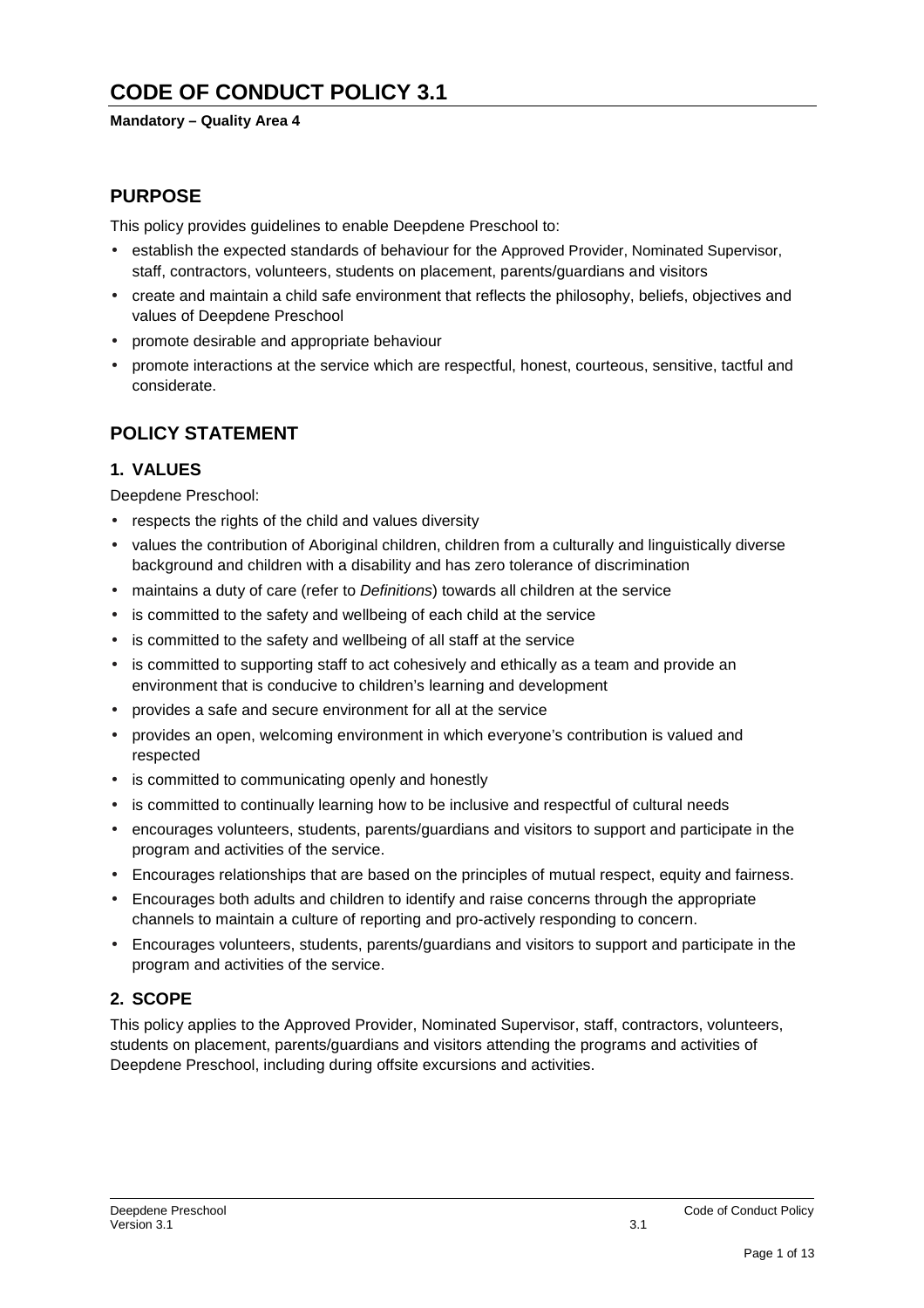# **CODE OF CONDUCT POLICY 3.1**

### **Mandatory – Quality Area 4**

## **PURPOSE**

This policy provides guidelines to enable Deepdene Preschool to:

- establish the expected standards of behaviour for the Approved Provider, Nominated Supervisor, staff, contractors, volunteers, students on placement, parents/guardians and visitors
- create and maintain a child safe environment that reflects the philosophy, beliefs, objectives and values of Deepdene Preschool
- promote desirable and appropriate behaviour
- promote interactions at the service which are respectful, honest, courteous, sensitive, tactful and considerate.

## **POLICY STATEMENT**

### **1. VALUES**

Deepdene Preschool:

- respects the rights of the child and values diversity
- values the contribution of Aboriginal children, children from a culturally and linguistically diverse background and children with a disability and has zero tolerance of discrimination
- maintains a duty of care (refer to Definitions) towards all children at the service
- is committed to the safety and wellbeing of each child at the service
- is committed to the safety and wellbeing of all staff at the service
- is committed to supporting staff to act cohesively and ethically as a team and provide an environment that is conducive to children's learning and development
- provides a safe and secure environment for all at the service
- provides an open, welcoming environment in which everyone's contribution is valued and respected
- is committed to communicating openly and honestly
- is committed to continually learning how to be inclusive and respectful of cultural needs
- encourages volunteers, students, parents/guardians and visitors to support and participate in the program and activities of the service.
- Encourages relationships that are based on the principles of mutual respect, equity and fairness.
- Encourages both adults and children to identify and raise concerns through the appropriate channels to maintain a culture of reporting and pro-actively responding to concern.
- Encourages volunteers, students, parents/guardians and visitors to support and participate in the program and activities of the service.

## **2. SCOPE**

This policy applies to the Approved Provider, Nominated Supervisor, staff, contractors, volunteers, students on placement, parents/guardians and visitors attending the programs and activities of Deepdene Preschool, including during offsite excursions and activities.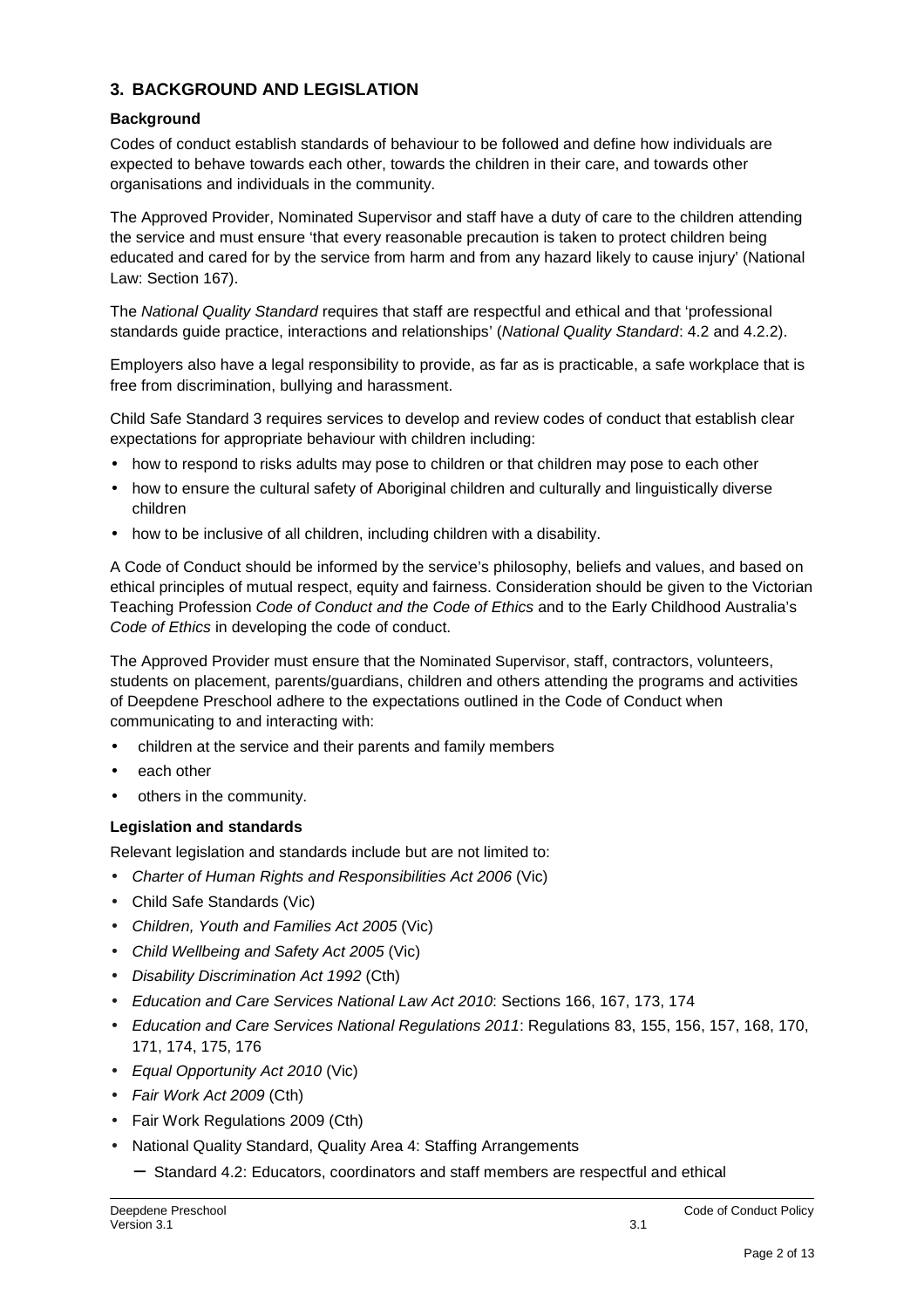## **3. BACKGROUND AND LEGISLATION**

### **Background**

Codes of conduct establish standards of behaviour to be followed and define how individuals are expected to behave towards each other, towards the children in their care, and towards other organisations and individuals in the community.

The Approved Provider, Nominated Supervisor and staff have a duty of care to the children attending the service and must ensure 'that every reasonable precaution is taken to protect children being educated and cared for by the service from harm and from any hazard likely to cause injury' (National Law: Section 167).

The National Quality Standard requires that staff are respectful and ethical and that 'professional standards guide practice, interactions and relationships' (National Quality Standard: 4.2 and 4.2.2).

Employers also have a legal responsibility to provide, as far as is practicable, a safe workplace that is free from discrimination, bullying and harassment.

Child Safe Standard 3 requires services to develop and review codes of conduct that establish clear expectations for appropriate behaviour with children including:

- how to respond to risks adults may pose to children or that children may pose to each other
- how to ensure the cultural safety of Aboriginal children and culturally and linguistically diverse children
- how to be inclusive of all children, including children with a disability.

A Code of Conduct should be informed by the service's philosophy, beliefs and values, and based on ethical principles of mutual respect, equity and fairness. Consideration should be given to the Victorian Teaching Profession Code of Conduct and the Code of Ethics and to the Early Childhood Australia's Code of Ethics in developing the code of conduct.

The Approved Provider must ensure that the Nominated Supervisor, staff, contractors, volunteers, students on placement, parents/guardians, children and others attending the programs and activities of Deepdene Preschool adhere to the expectations outlined in the Code of Conduct when communicating to and interacting with:

- children at the service and their parents and family members
- each other
- others in the community.

### **Legislation and standards**

Relevant legislation and standards include but are not limited to:

- Charter of Human Rights and Responsibilities Act 2006 (Vic)
- Child Safe Standards (Vic)
- Children, Youth and Families Act 2005 (Vic)
- Child Wellbeing and Safety Act 2005 (Vic)
- Disability Discrimination Act 1992 (Cth)
- Education and Care Services National Law Act 2010: Sections 166, 167, 173, 174
- Education and Care Services National Regulations 2011: Regulations 83, 155, 156, 157, 168, 170, 171, 174, 175, 176
- Equal Opportunity Act 2010 (Vic)
- Fair Work Act 2009 (Cth)
- Fair Work Regulations 2009 (Cth)
- National Quality Standard, Quality Area 4: Staffing Arrangements
	- − Standard 4.2: Educators, coordinators and staff members are respectful and ethical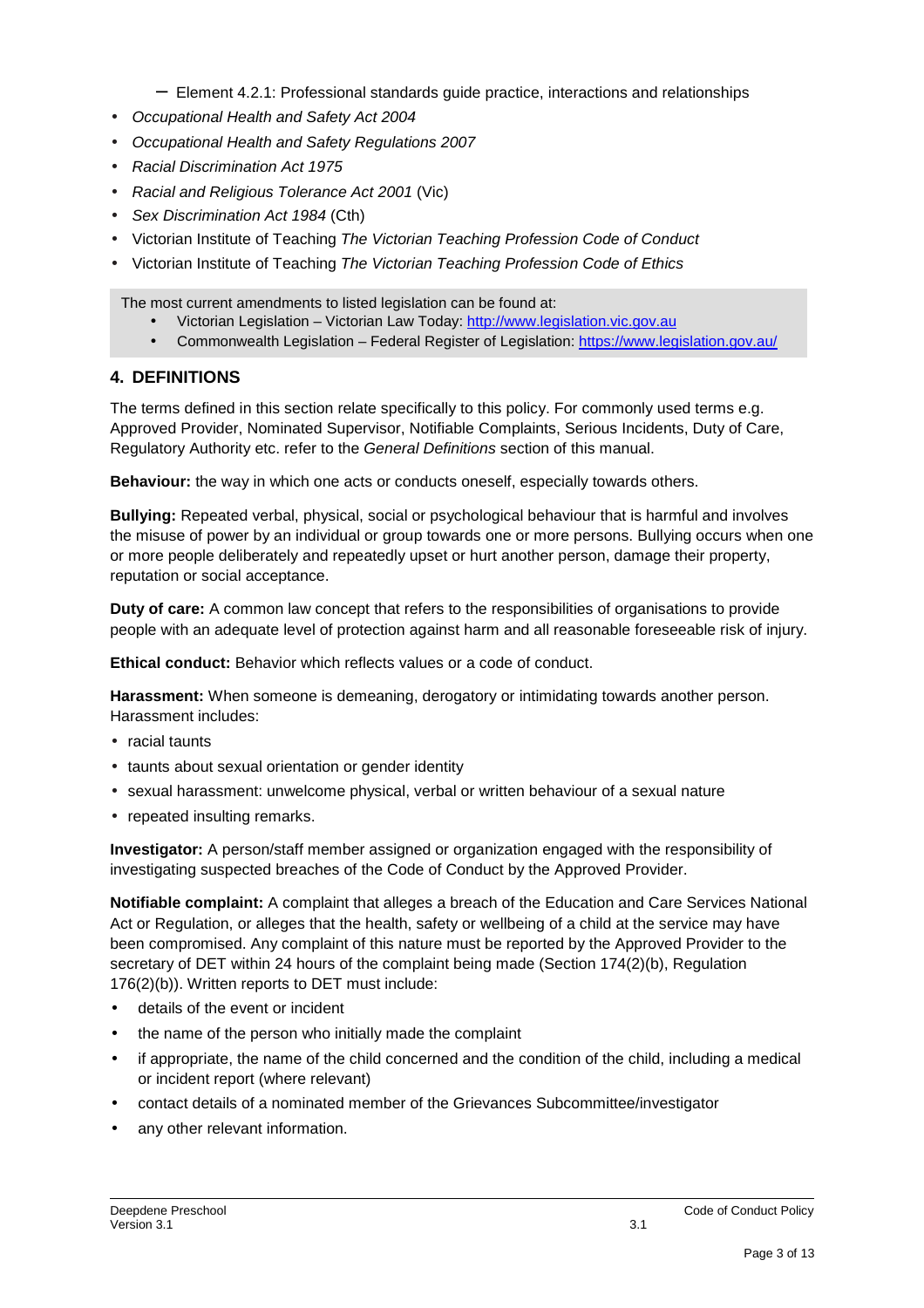- − Element 4.2.1: Professional standards guide practice, interactions and relationships
- Occupational Health and Safety Act 2004
- Occupational Health and Safety Regulations 2007
- Racial Discrimination Act 1975
- Racial and Religious Tolerance Act 2001 (Vic)
- Sex Discrimination Act 1984 (Cth)
- Victorian Institute of Teaching The Victorian Teaching Profession Code of Conduct
- Victorian Institute of Teaching The Victorian Teaching Profession Code of Ethics

The most current amendments to listed legislation can be found at:

- Victorian Legislation Victorian Law Today: http://www.legislation.vic.gov.au
- Commonwealth Legislation Federal Register of Legislation: https://www.legislation.gov.au/

### **4. DEFINITIONS**

The terms defined in this section relate specifically to this policy. For commonly used terms e.g. Approved Provider, Nominated Supervisor, Notifiable Complaints, Serious Incidents, Duty of Care, Regulatory Authority etc. refer to the General Definitions section of this manual.

**Behaviour:** the way in which one acts or conducts oneself, especially towards others.

**Bullying:** Repeated verbal, physical, social or psychological behaviour that is harmful and involves the misuse of power by an individual or group towards one or more persons. Bullying occurs when one or more people deliberately and repeatedly upset or hurt another person, damage their property, reputation or social acceptance.

**Duty of care:** A common law concept that refers to the responsibilities of organisations to provide people with an adequate level of protection against harm and all reasonable foreseeable risk of injury.

**Ethical conduct:** Behavior which reflects values or a code of conduct.

**Harassment:** When someone is demeaning, derogatory or intimidating towards another person. Harassment includes:

- racial taunts
- taunts about sexual orientation or gender identity
- sexual harassment: unwelcome physical, verbal or written behaviour of a sexual nature
- repeated insulting remarks.

**Investigator:** A person/staff member assigned or organization engaged with the responsibility of investigating suspected breaches of the Code of Conduct by the Approved Provider.

**Notifiable complaint:** A complaint that alleges a breach of the Education and Care Services National Act or Regulation, or alleges that the health, safety or wellbeing of a child at the service may have been compromised. Any complaint of this nature must be reported by the Approved Provider to the secretary of DET within 24 hours of the complaint being made (Section 174(2)(b), Regulation 176(2)(b)). Written reports to DET must include:

- details of the event or incident
- the name of the person who initially made the complaint
- if appropriate, the name of the child concerned and the condition of the child, including a medical or incident report (where relevant)
- contact details of a nominated member of the Grievances Subcommittee/investigator
- any other relevant information.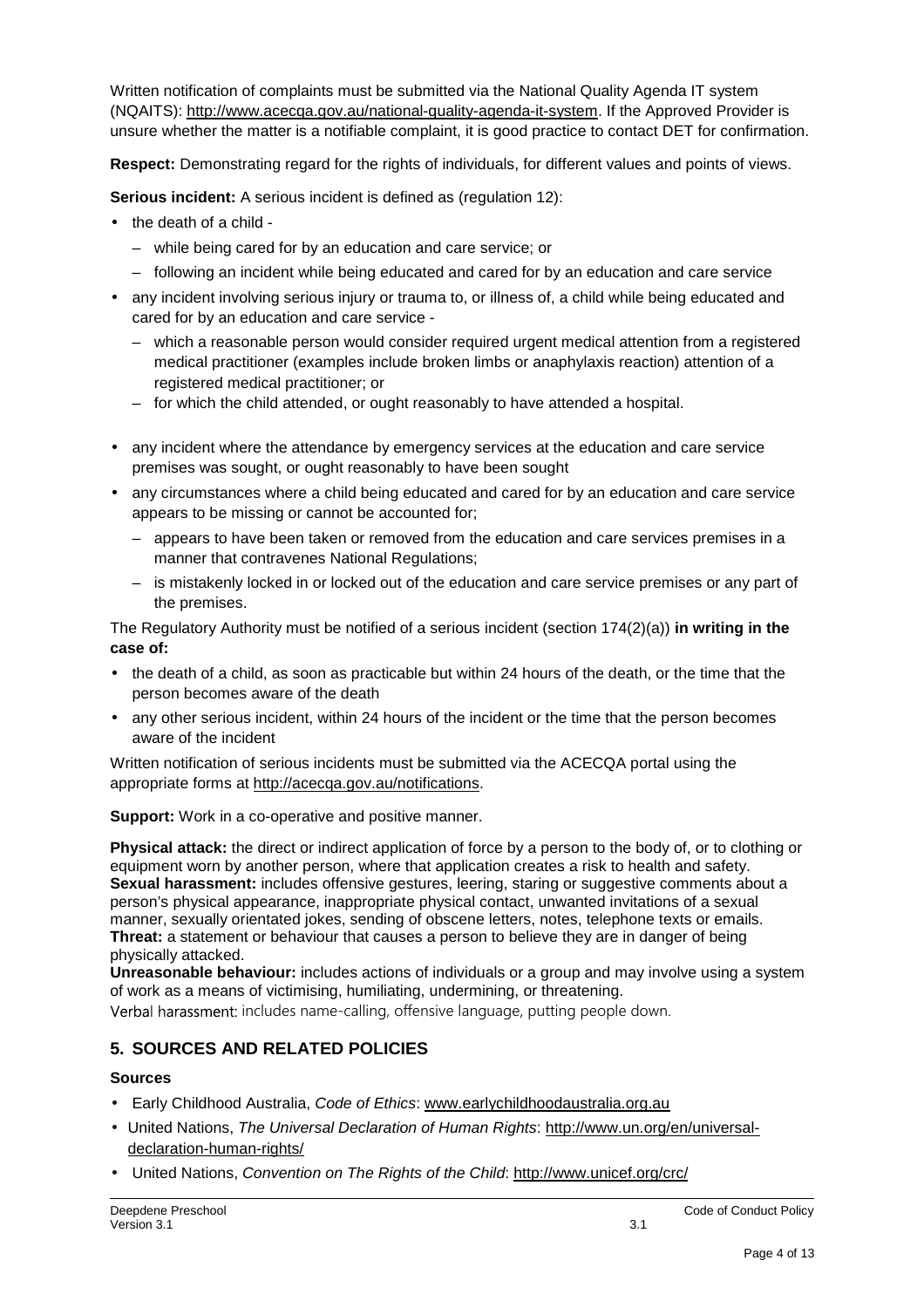Written notification of complaints must be submitted via the National Quality Agenda IT system (NQAITS): http://www.acecqa.gov.au/national-quality-agenda-it-system. If the Approved Provider is unsure whether the matter is a notifiable complaint, it is good practice to contact DET for confirmation.

**Respect:** Demonstrating regard for the rights of individuals, for different values and points of views.

**Serious incident:** A serious incident is defined as (regulation 12):

- the death of a child
	- while being cared for by an education and care service; or
	- following an incident while being educated and cared for by an education and care service
- any incident involving serious injury or trauma to, or illness of, a child while being educated and cared for by an education and care service -
	- which a reasonable person would consider required urgent medical attention from a registered medical practitioner (examples include broken limbs or anaphylaxis reaction) attention of a registered medical practitioner; or
	- for which the child attended, or ought reasonably to have attended a hospital.
- any incident where the attendance by emergency services at the education and care service premises was sought, or ought reasonably to have been sought
- any circumstances where a child being educated and cared for by an education and care service appears to be missing or cannot be accounted for;
	- appears to have been taken or removed from the education and care services premises in a manner that contravenes National Regulations;
	- is mistakenly locked in or locked out of the education and care service premises or any part of the premises.

The Regulatory Authority must be notified of a serious incident (section 174(2)(a)) **in writing in the case of:** 

- the death of a child, as soon as practicable but within 24 hours of the death, or the time that the person becomes aware of the death
- any other serious incident, within 24 hours of the incident or the time that the person becomes aware of the incident

Written notification of serious incidents must be submitted via the ACECQA portal using the appropriate forms at http://acecqa.gov.au/notifications.

**Support:** Work in a co-operative and positive manner.

**Physical attack:** the direct or indirect application of force by a person to the body of, or to clothing or equipment worn by another person, where that application creates a risk to health and safety. **Sexual harassment:** includes offensive gestures, leering, staring or suggestive comments about a person's physical appearance, inappropriate physical contact, unwanted invitations of a sexual manner, sexually orientated jokes, sending of obscene letters, notes, telephone texts or emails. **Threat:** a statement or behaviour that causes a person to believe they are in danger of being physically attacked.

**Unreasonable behaviour:** includes actions of individuals or a group and may involve using a system of work as a means of victimising, humiliating, undermining, or threatening.

Verbal harassment: includes name-calling, offensive language, putting people down.

## **5. SOURCES AND RELATED POLICIES**

### **Sources**

- Early Childhood Australia, Code of Ethics: www.earlychildhoodaustralia.org.au
- United Nations, The Universal Declaration of Human Rights: http://www.un.org/en/universaldeclaration-human-rights/
- United Nations, Convention on The Rights of the Child: http://www.unicef.org/crc/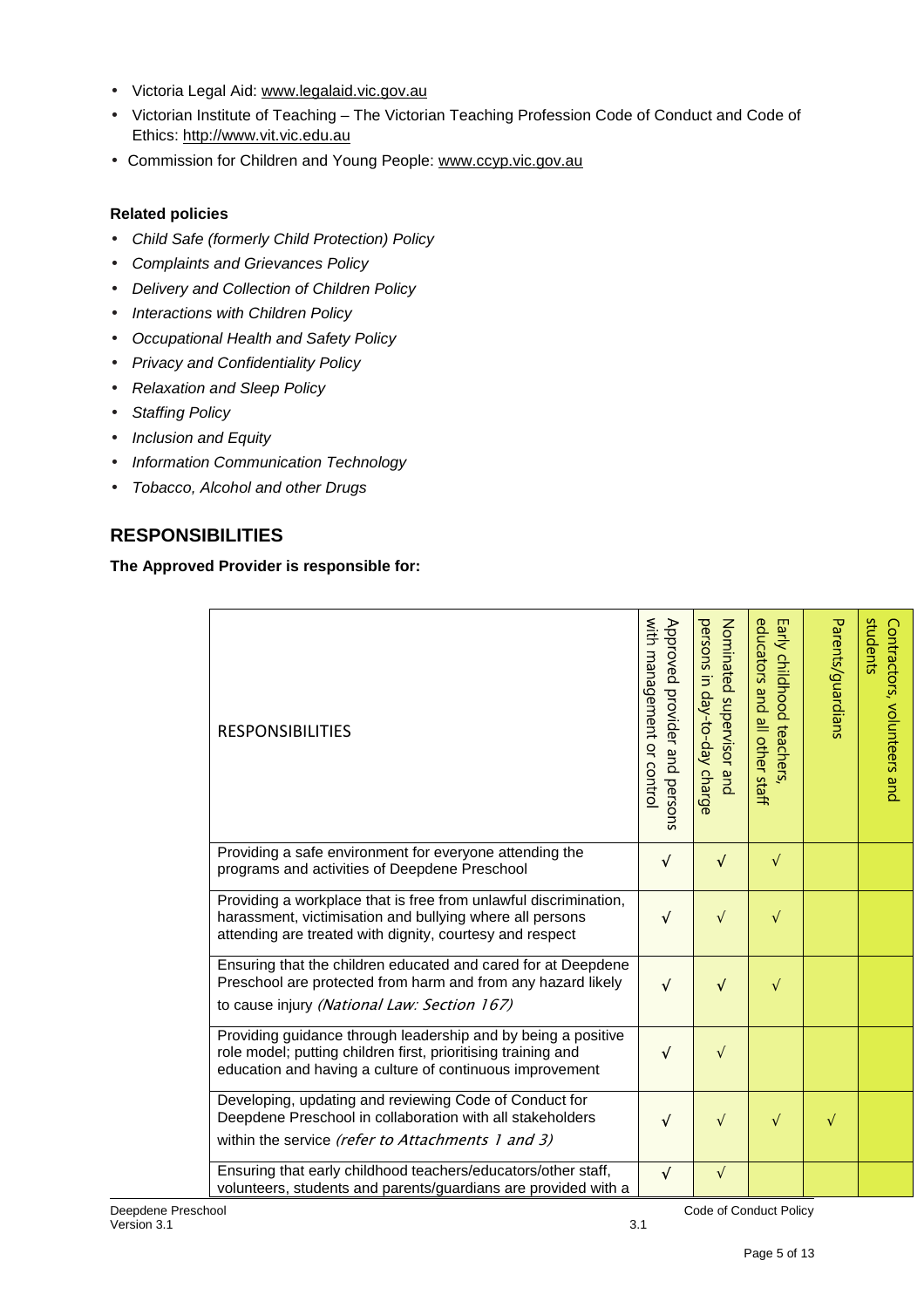- Victoria Legal Aid: www.legalaid.vic.gov.au
- Victorian Institute of Teaching The Victorian Teaching Profession Code of Conduct and Code of Ethics: http://www.vit.vic.edu.au
- Commission for Children and Young People: www.ccyp.vic.gov.au

### **Related policies**

- Child Safe (formerly Child Protection) Policy
- Complaints and Grievances Policy
- Delivery and Collection of Children Policy
- Interactions with Children Policy
- Occupational Health and Safety Policy
- Privacy and Confidentiality Policy
- Relaxation and Sleep Policy
- Staffing Policy
- Inclusion and Equity
- Information Communication Technology
- Tobacco, Alcohol and other Drugs

## **RESPONSIBILITIES**

### **The Approved Provider is responsible for:**

| <b>RESPONSIBILITIES</b>                                                                                                                                                                    | with management or contro<br>Approved provider and persons | persons in day-to-day charge<br>Nominated supervisor and | educators and all other staff<br>Early childhood teachers, | Parents/guardians | students<br>Contractors, volunteers and |
|--------------------------------------------------------------------------------------------------------------------------------------------------------------------------------------------|------------------------------------------------------------|----------------------------------------------------------|------------------------------------------------------------|-------------------|-----------------------------------------|
| Providing a safe environment for everyone attending the<br>programs and activities of Deepdene Preschool                                                                                   | √                                                          | $\sqrt{ }$                                               | $\sqrt{}$                                                  |                   |                                         |
| Providing a workplace that is free from unlawful discrimination,<br>harassment, victimisation and bullying where all persons<br>attending are treated with dignity, courtesy and respect   | $\sqrt{}$                                                  | $\sqrt{}$                                                | $\sqrt{}$                                                  |                   |                                         |
| Ensuring that the children educated and cared for at Deepdene<br>Preschool are protected from harm and from any hazard likely<br>to cause injury (National Law: Section 167)               | $\sqrt{}$                                                  | $\sqrt{}$                                                | $\sqrt{}$                                                  |                   |                                         |
| Providing guidance through leadership and by being a positive<br>role model; putting children first, prioritising training and<br>education and having a culture of continuous improvement | $\sqrt{}$                                                  | $\sqrt{ }$                                               |                                                            |                   |                                         |
| Developing, updating and reviewing Code of Conduct for<br>Deepdene Preschool in collaboration with all stakeholders<br>within the service (refer to Attachments 1 and 3)                   | $\sqrt{}$                                                  | $\sqrt{ }$                                               | $\sqrt{}$                                                  | $\sqrt{}$         |                                         |
| Ensuring that early childhood teachers/educators/other staff,<br>volunteers, students and parents/guardians are provided with a                                                            | $\sqrt{}$                                                  | $\sqrt{ }$                                               |                                                            |                   |                                         |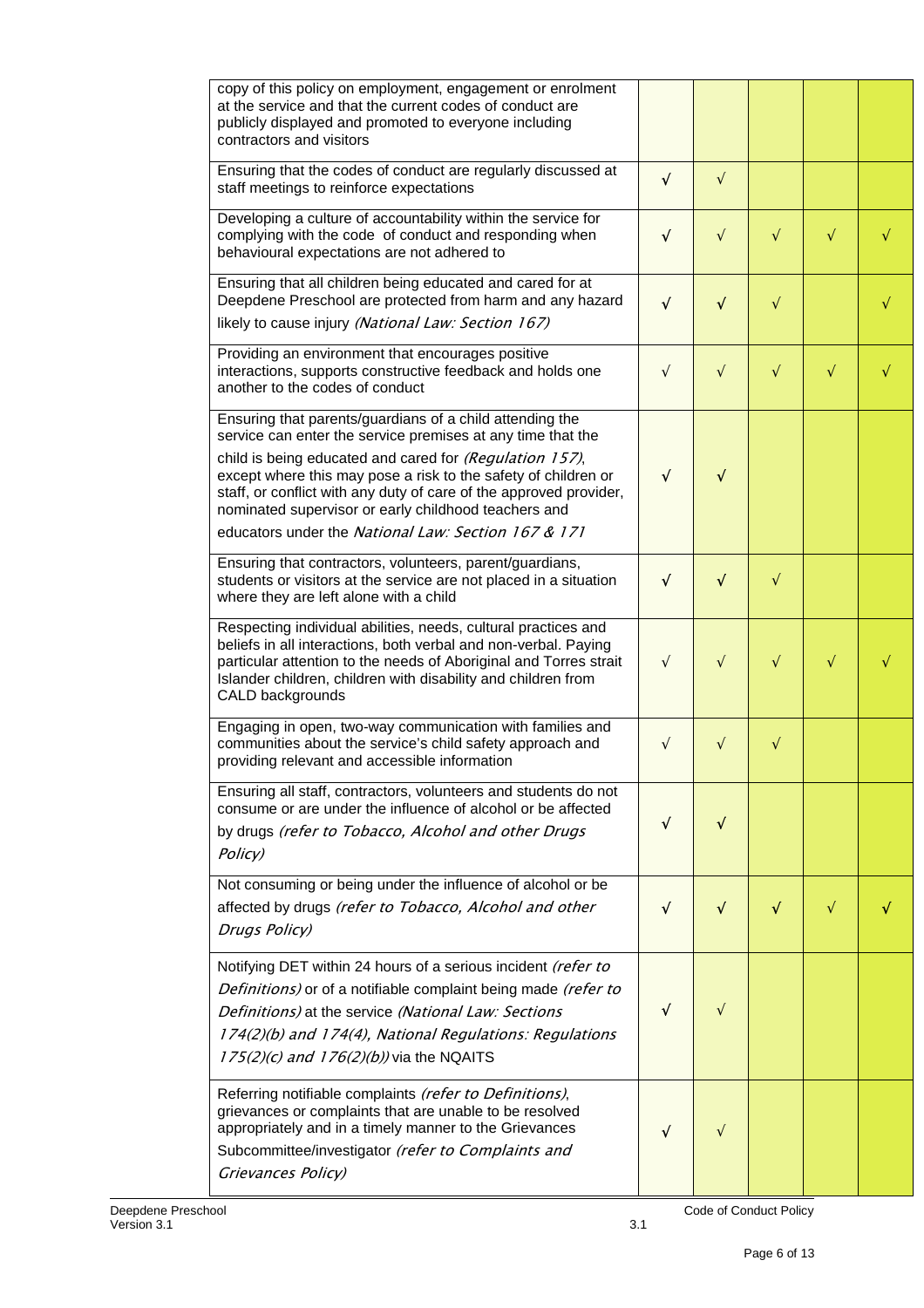| copy of this policy on employment, engagement or enrolment<br>at the service and that the current codes of conduct are<br>publicly displayed and promoted to everyone including<br>contractors and visitors                                                                                                                                                                                                                               |           |            |           |           |           |
|-------------------------------------------------------------------------------------------------------------------------------------------------------------------------------------------------------------------------------------------------------------------------------------------------------------------------------------------------------------------------------------------------------------------------------------------|-----------|------------|-----------|-----------|-----------|
| Ensuring that the codes of conduct are regularly discussed at<br>staff meetings to reinforce expectations                                                                                                                                                                                                                                                                                                                                 | $\sqrt{}$ | $\sqrt{ }$ |           |           |           |
| Developing a culture of accountability within the service for<br>complying with the code of conduct and responding when<br>behavioural expectations are not adhered to                                                                                                                                                                                                                                                                    | $\sqrt{}$ | $\sqrt{}$  | $\sqrt{}$ | $\sqrt{}$ | $\sqrt{}$ |
| Ensuring that all children being educated and cared for at<br>Deepdene Preschool are protected from harm and any hazard<br>likely to cause injury (National Law: Section 167)                                                                                                                                                                                                                                                             | $\sqrt{}$ | $\sqrt{ }$ | $\sqrt{}$ |           |           |
| Providing an environment that encourages positive<br>interactions, supports constructive feedback and holds one<br>another to the codes of conduct                                                                                                                                                                                                                                                                                        | $\sqrt{}$ | $\sqrt{}$  | $\sqrt{}$ | $\sqrt{}$ |           |
| Ensuring that parents/guardians of a child attending the<br>service can enter the service premises at any time that the<br>child is being educated and cared for (Regulation 157),<br>except where this may pose a risk to the safety of children or<br>staff, or conflict with any duty of care of the approved provider,<br>nominated supervisor or early childhood teachers and<br>educators under the National Law: Section 167 & 171 | $\sqrt{}$ | $\sqrt{}$  |           |           |           |
| Ensuring that contractors, volunteers, parent/guardians,<br>students or visitors at the service are not placed in a situation<br>where they are left alone with a child                                                                                                                                                                                                                                                                   | $\sqrt{}$ | $\sqrt{}$  | $\sqrt{}$ |           |           |
| Respecting individual abilities, needs, cultural practices and<br>beliefs in all interactions, both verbal and non-verbal. Paying<br>particular attention to the needs of Aboriginal and Torres strait<br>Islander children, children with disability and children from<br>CALD backgrounds                                                                                                                                               | $\sqrt{}$ | $\sqrt{}$  | $\sqrt{}$ | $\sqrt{}$ |           |
| Engaging in open, two-way communication with families and<br>communities about the service's child safety approach and<br>providing relevant and accessible information                                                                                                                                                                                                                                                                   | $\sqrt{}$ | $\sqrt{}$  | $\sqrt{}$ |           |           |
| Ensuring all staff, contractors, volunteers and students do not<br>consume or are under the influence of alcohol or be affected<br>by drugs (refer to Tobacco, Alcohol and other Drugs<br>Policy)                                                                                                                                                                                                                                         | √         | √          |           |           |           |
| Not consuming or being under the influence of alcohol or be<br>affected by drugs (refer to Tobacco, Alcohol and other<br>Drugs Policy)                                                                                                                                                                                                                                                                                                    | √         | $\sqrt{}$  | √         | $\sqrt{}$ |           |
| Notifying DET within 24 hours of a serious incident (refer to<br>Definitions) or of a notifiable complaint being made (refer to<br>Definitions) at the service (National Law: Sections<br>174(2)(b) and 174(4), National Regulations: Regulations<br>$175(2)(c)$ and $176(2)(b)$ ) via the NQAITS                                                                                                                                         | √         | V          |           |           |           |
| Referring notifiable complaints (refer to Definitions),<br>grievances or complaints that are unable to be resolved<br>appropriately and in a timely manner to the Grievances<br>Subcommittee/investigator (refer to Complaints and<br>Grievances Policy)                                                                                                                                                                                  | √         | V          |           |           |           |

Code of Conduct Policy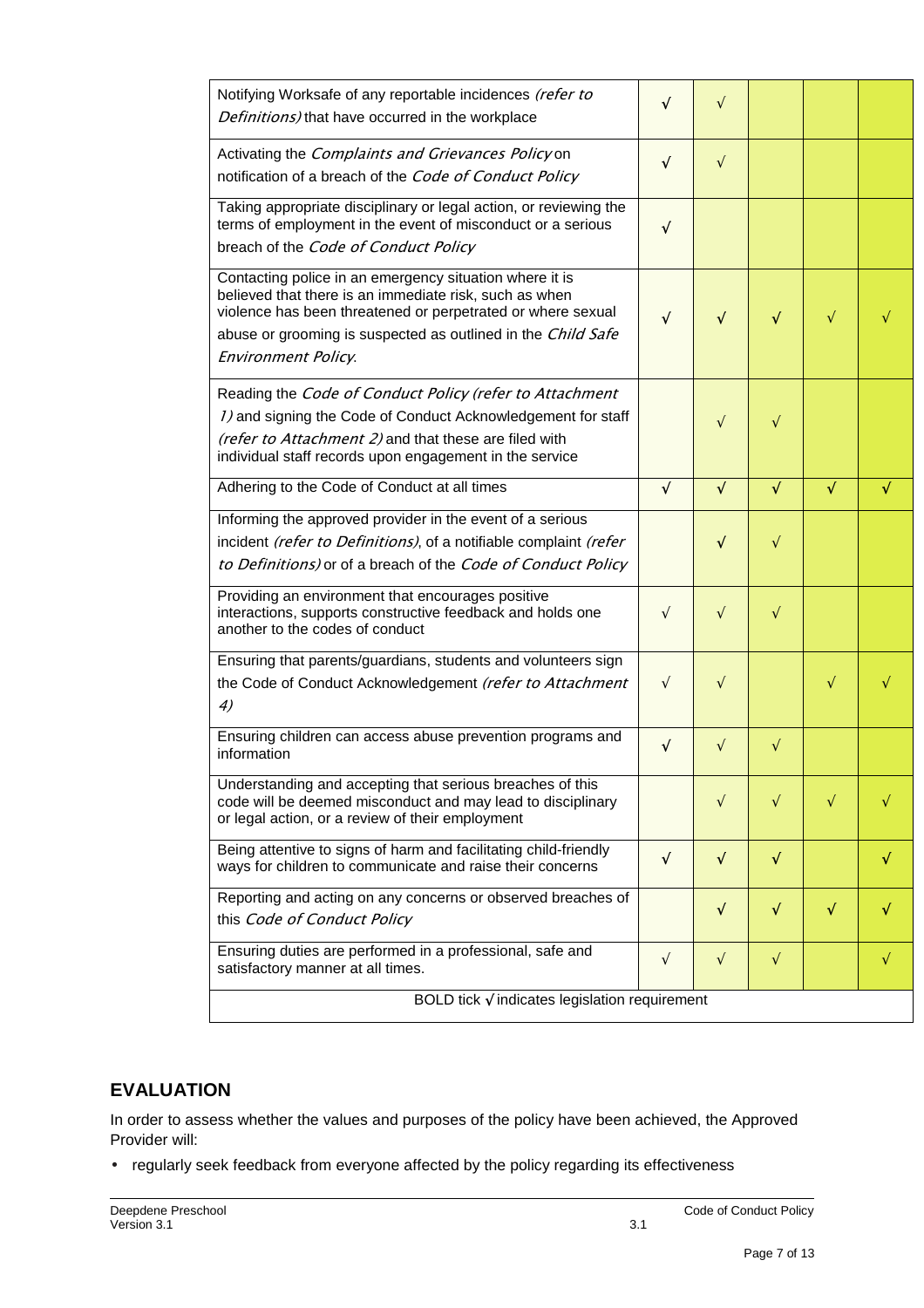| Notifying Worksafe of any reportable incidences (refer to<br>Definitions) that have occurred in the workplace                                                                                                                                                                  | V          | $\sqrt{}$  |           |           |           |
|--------------------------------------------------------------------------------------------------------------------------------------------------------------------------------------------------------------------------------------------------------------------------------|------------|------------|-----------|-----------|-----------|
| Activating the Complaints and Grievances Policy on<br>notification of a breach of the Code of Conduct Policy                                                                                                                                                                   | $\sqrt{ }$ | $\sqrt{}$  |           |           |           |
| Taking appropriate disciplinary or legal action, or reviewing the<br>terms of employment in the event of misconduct or a serious<br>breach of the Code of Conduct Policy                                                                                                       | $\sqrt{ }$ |            |           |           |           |
| Contacting police in an emergency situation where it is<br>believed that there is an immediate risk, such as when<br>violence has been threatened or perpetrated or where sexual<br>abuse or grooming is suspected as outlined in the Child Safe<br><b>Environment Policy.</b> | $\sqrt{}$  | $\sqrt{}$  | $\sqrt{}$ | $\sqrt{}$ |           |
| Reading the Code of Conduct Policy (refer to Attachment<br>1) and signing the Code of Conduct Acknowledgement for staff<br>(refer to Attachment 2) and that these are filed with<br>individual staff records upon engagement in the service                                    |            | $\sqrt{}$  | $\sqrt{}$ |           |           |
| Adhering to the Code of Conduct at all times                                                                                                                                                                                                                                   | $\sqrt{}$  | $\sqrt{}$  | √         | √         |           |
| Informing the approved provider in the event of a serious<br>incident (refer to Definitions), of a notifiable complaint (refer<br>to Definitions) or of a breach of the Code of Conduct Policy                                                                                 |            | $\sqrt{}$  | $\sqrt{}$ |           |           |
| Providing an environment that encourages positive<br>interactions, supports constructive feedback and holds one<br>another to the codes of conduct                                                                                                                             | $\sqrt{ }$ | $\sqrt{}$  | $\sqrt{}$ |           |           |
| Ensuring that parents/guardians, students and volunteers sign<br>the Code of Conduct Acknowledgement (refer to Attachment<br>4)                                                                                                                                                | $\sqrt{ }$ | $\sqrt{}$  |           | $\sqrt{}$ |           |
| Ensuring children can access abuse prevention programs and<br>information                                                                                                                                                                                                      | $\sqrt{ }$ | $\sqrt{ }$ | $\sqrt{}$ |           |           |
| Understanding and accepting that serious breaches of this<br>code will be deemed misconduct and may lead to disciplinary<br>or legal action, or a review of their employment                                                                                                   |            | $\sqrt{ }$ | $\sqrt{}$ | $\sqrt{}$ |           |
| Being attentive to signs of harm and facilitating child-friendly<br>ways for children to communicate and raise their concerns                                                                                                                                                  | $\sqrt{ }$ | $\sqrt{ }$ | $\sqrt{}$ |           | √         |
| Reporting and acting on any concerns or observed breaches of<br>this Code of Conduct Policy                                                                                                                                                                                    |            | $\sqrt{}$  | $\sqrt{}$ | $\sqrt{}$ | √         |
| Ensuring duties are performed in a professional, safe and<br>satisfactory manner at all times.                                                                                                                                                                                 | $\sqrt{ }$ | $\sqrt{}$  | $\sqrt{}$ |           | $\sqrt{}$ |
| BOLD tick $\sqrt{}$ indicates legislation requirement                                                                                                                                                                                                                          |            |            |           |           |           |

# **EVALUATION**

In order to assess whether the values and purposes of the policy have been achieved, the Approved Provider will:

• regularly seek feedback from everyone affected by the policy regarding its effectiveness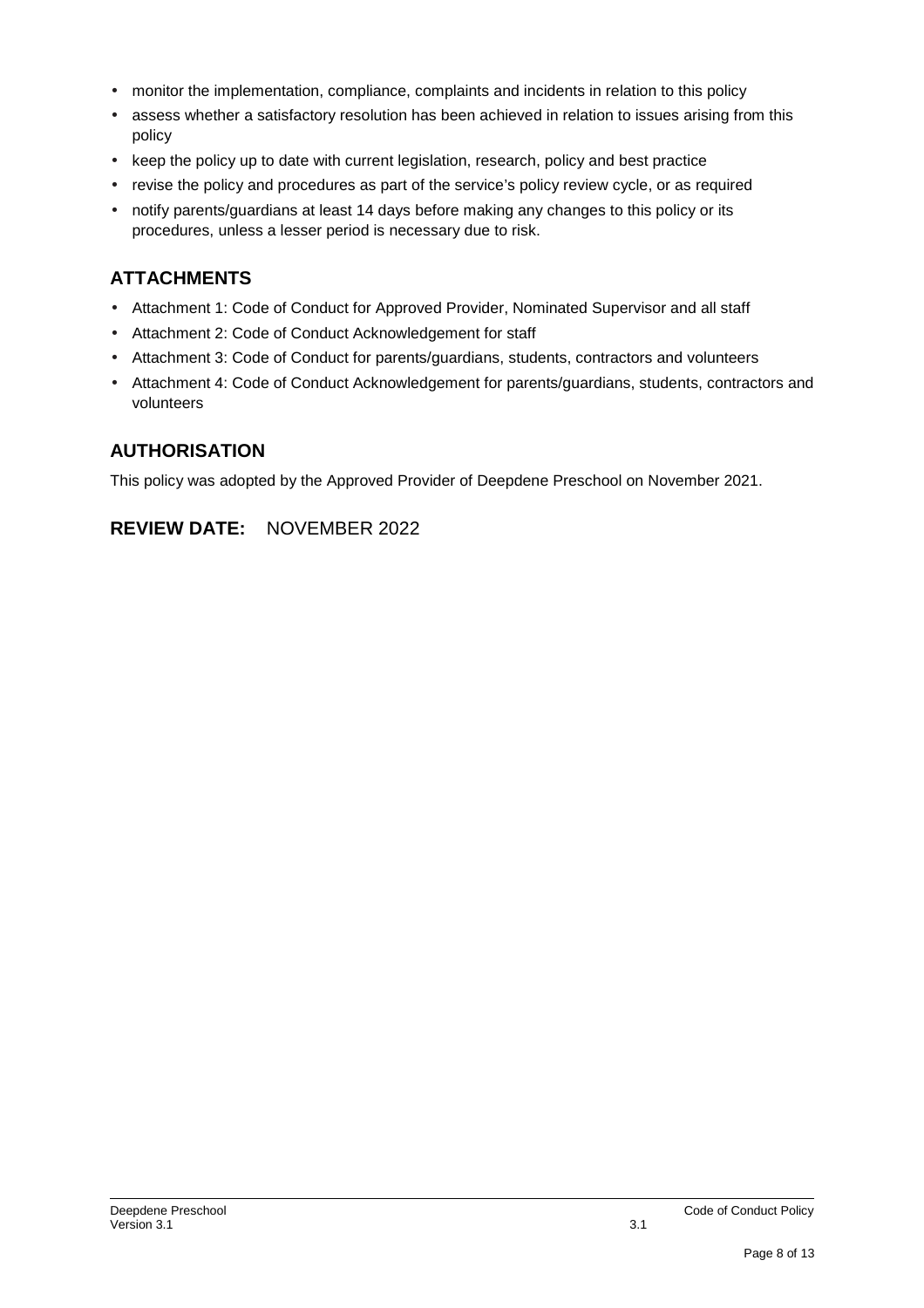- monitor the implementation, compliance, complaints and incidents in relation to this policy
- assess whether a satisfactory resolution has been achieved in relation to issues arising from this policy
- keep the policy up to date with current legislation, research, policy and best practice
- revise the policy and procedures as part of the service's policy review cycle, or as required
- notify parents/guardians at least 14 days before making any changes to this policy or its procedures, unless a lesser period is necessary due to risk.

# **ATTACHMENTS**

- Attachment 1: Code of Conduct for Approved Provider, Nominated Supervisor and all staff
- Attachment 2: Code of Conduct Acknowledgement for staff
- Attachment 3: Code of Conduct for parents/guardians, students, contractors and volunteers
- Attachment 4: Code of Conduct Acknowledgement for parents/guardians, students, contractors and volunteers

# **AUTHORISATION**

This policy was adopted by the Approved Provider of Deepdene Preschool on November 2021.

# **REVIEW DATE:** NOVEMBER 2022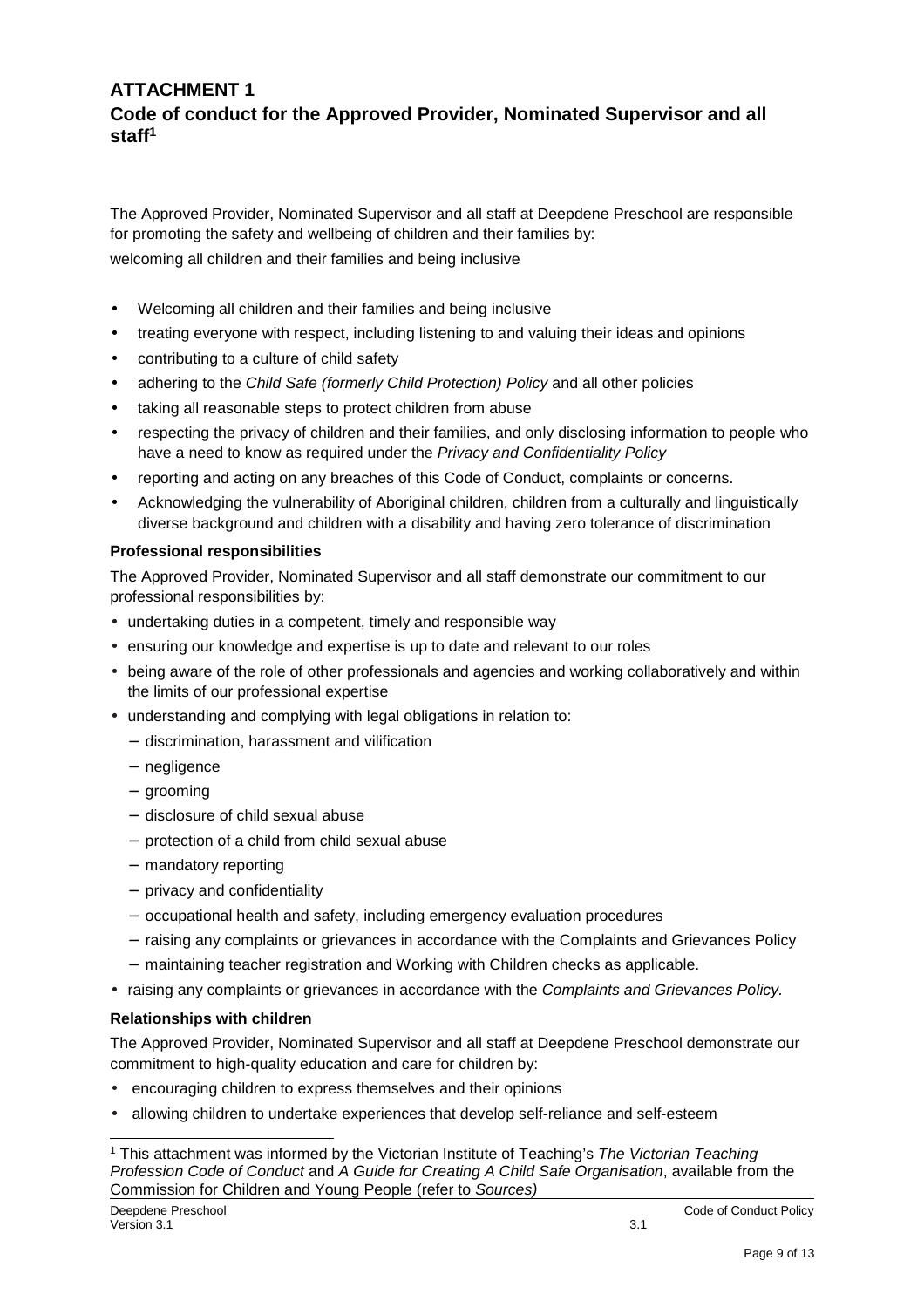## **ATTACHMENT 1 Code of conduct for the Approved Provider, Nominated Supervisor and all staff<sup>1</sup>**

The Approved Provider, Nominated Supervisor and all staff at Deepdene Preschool are responsible for promoting the safety and wellbeing of children and their families by: welcoming all children and their families and being inclusive

- Welcoming all children and their families and being inclusive
- treating everyone with respect, including listening to and valuing their ideas and opinions
- contributing to a culture of child safety
- adhering to the Child Safe (formerly Child Protection) Policy and all other policies
- taking all reasonable steps to protect children from abuse
- respecting the privacy of children and their families, and only disclosing information to people who have a need to know as required under the Privacy and Confidentiality Policy
- reporting and acting on any breaches of this Code of Conduct, complaints or concerns.
- Acknowledging the vulnerability of Aboriginal children, children from a culturally and linguistically diverse background and children with a disability and having zero tolerance of discrimination

### **Professional responsibilities**

The Approved Provider, Nominated Supervisor and all staff demonstrate our commitment to our professional responsibilities by:

- undertaking duties in a competent, timely and responsible way
- ensuring our knowledge and expertise is up to date and relevant to our roles
- being aware of the role of other professionals and agencies and working collaboratively and within the limits of our professional expertise
- understanding and complying with legal obligations in relation to:
	- − discrimination, harassment and vilification
	- − negligence
	- − grooming
	- − disclosure of child sexual abuse
	- − protection of a child from child sexual abuse
	- − mandatory reporting
	- − privacy and confidentiality
	- − occupational health and safety, including emergency evaluation procedures
	- − raising any complaints or grievances in accordance with the Complaints and Grievances Policy
	- − maintaining teacher registration and Working with Children checks as applicable.
- raising any complaints or grievances in accordance with the Complaints and Grievances Policy.

### **Relationships with children**

The Approved Provider, Nominated Supervisor and all staff at Deepdene Preschool demonstrate our commitment to high-quality education and care for children by:

- encouraging children to express themselves and their opinions
- allowing children to undertake experiences that develop self-reliance and self-esteem

 1 This attachment was informed by the Victorian Institute of Teaching's The Victorian Teaching Profession Code of Conduct and A Guide for Creating A Child Safe Organisation, available from the Commission for Children and Young People (refer to Sources)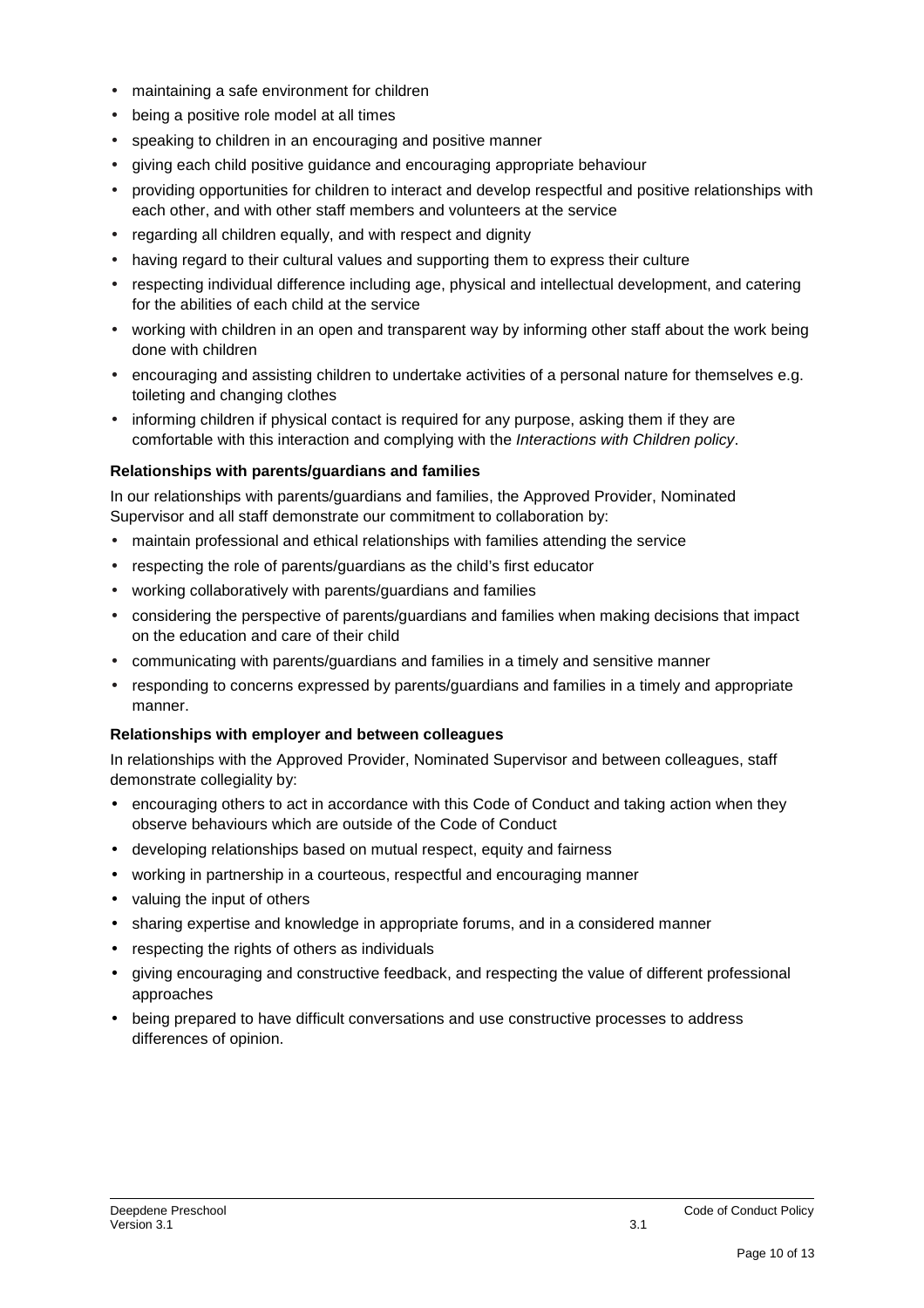- maintaining a safe environment for children
- being a positive role model at all times
- speaking to children in an encouraging and positive manner
- giving each child positive guidance and encouraging appropriate behaviour
- providing opportunities for children to interact and develop respectful and positive relationships with each other, and with other staff members and volunteers at the service
- regarding all children equally, and with respect and dignity
- having regard to their cultural values and supporting them to express their culture
- respecting individual difference including age, physical and intellectual development, and catering for the abilities of each child at the service
- working with children in an open and transparent way by informing other staff about the work being done with children
- encouraging and assisting children to undertake activities of a personal nature for themselves e.g. toileting and changing clothes
- informing children if physical contact is required for any purpose, asking them if they are comfortable with this interaction and complying with the Interactions with Children policy.

### **Relationships with parents/guardians and families**

In our relationships with parents/guardians and families, the Approved Provider, Nominated Supervisor and all staff demonstrate our commitment to collaboration by:

- maintain professional and ethical relationships with families attending the service
- respecting the role of parents/guardians as the child's first educator
- working collaboratively with parents/guardians and families
- considering the perspective of parents/guardians and families when making decisions that impact on the education and care of their child
- communicating with parents/guardians and families in a timely and sensitive manner
- responding to concerns expressed by parents/guardians and families in a timely and appropriate manner.

### **Relationships with employer and between colleagues**

In relationships with the Approved Provider, Nominated Supervisor and between colleagues, staff demonstrate collegiality by:

- encouraging others to act in accordance with this Code of Conduct and taking action when they observe behaviours which are outside of the Code of Conduct
- developing relationships based on mutual respect, equity and fairness
- working in partnership in a courteous, respectful and encouraging manner
- valuing the input of others
- sharing expertise and knowledge in appropriate forums, and in a considered manner
- respecting the rights of others as individuals
- giving encouraging and constructive feedback, and respecting the value of different professional approaches
- being prepared to have difficult conversations and use constructive processes to address differences of opinion.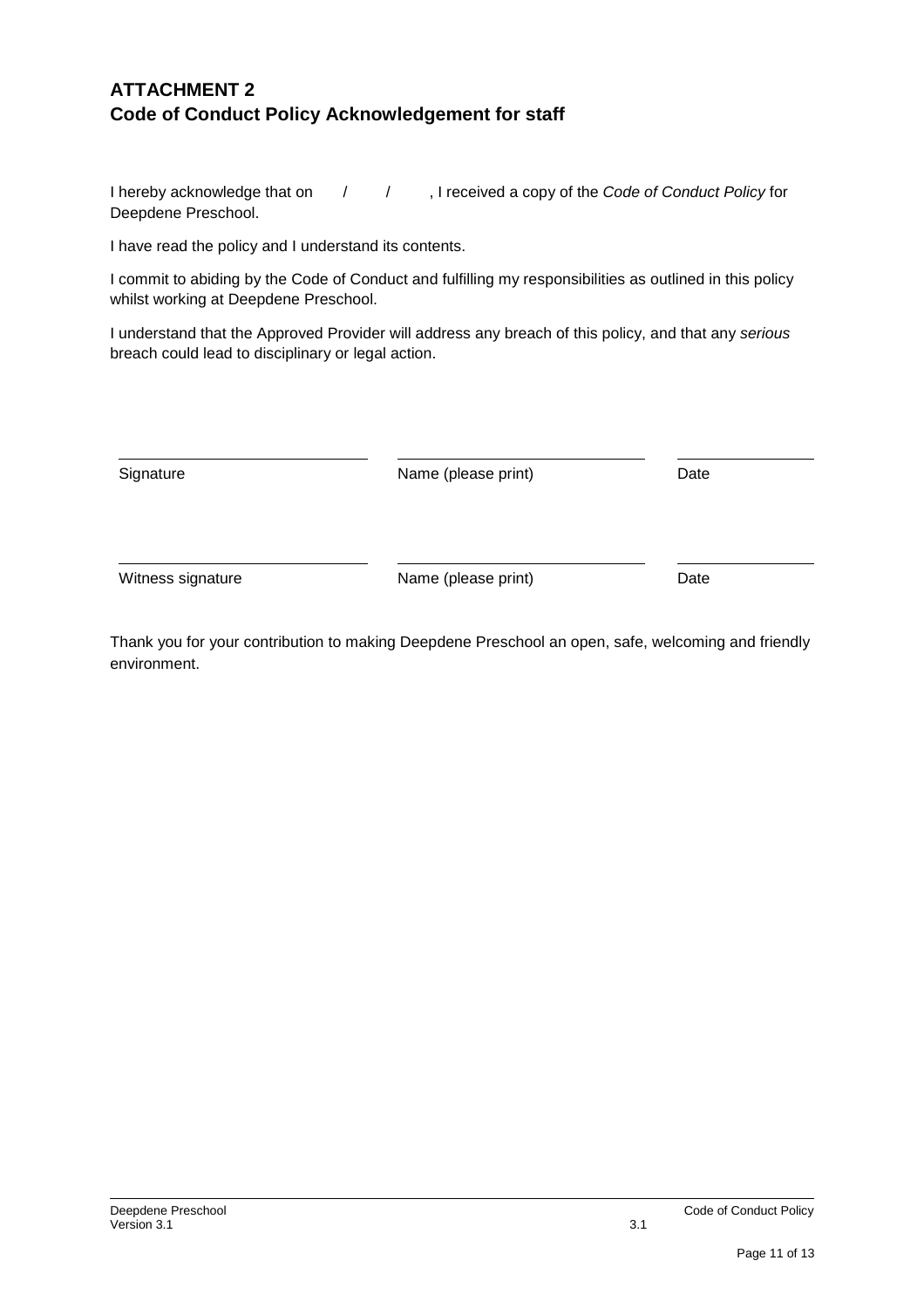# **ATTACHMENT 2 Code of Conduct Policy Acknowledgement for staff**

I hereby acknowledge that on  $1/1$ , I received a copy of the Code of Conduct Policy for Deepdene Preschool.

I have read the policy and I understand its contents.

I commit to abiding by the Code of Conduct and fulfilling my responsibilities as outlined in this policy whilst working at Deepdene Preschool.

I understand that the Approved Provider will address any breach of this policy, and that any serious breach could lead to disciplinary or legal action.

| Signature         | Name (please print) | Date |
|-------------------|---------------------|------|
| Witness signature | Name (please print) | Date |

Thank you for your contribution to making Deepdene Preschool an open, safe, welcoming and friendly environment.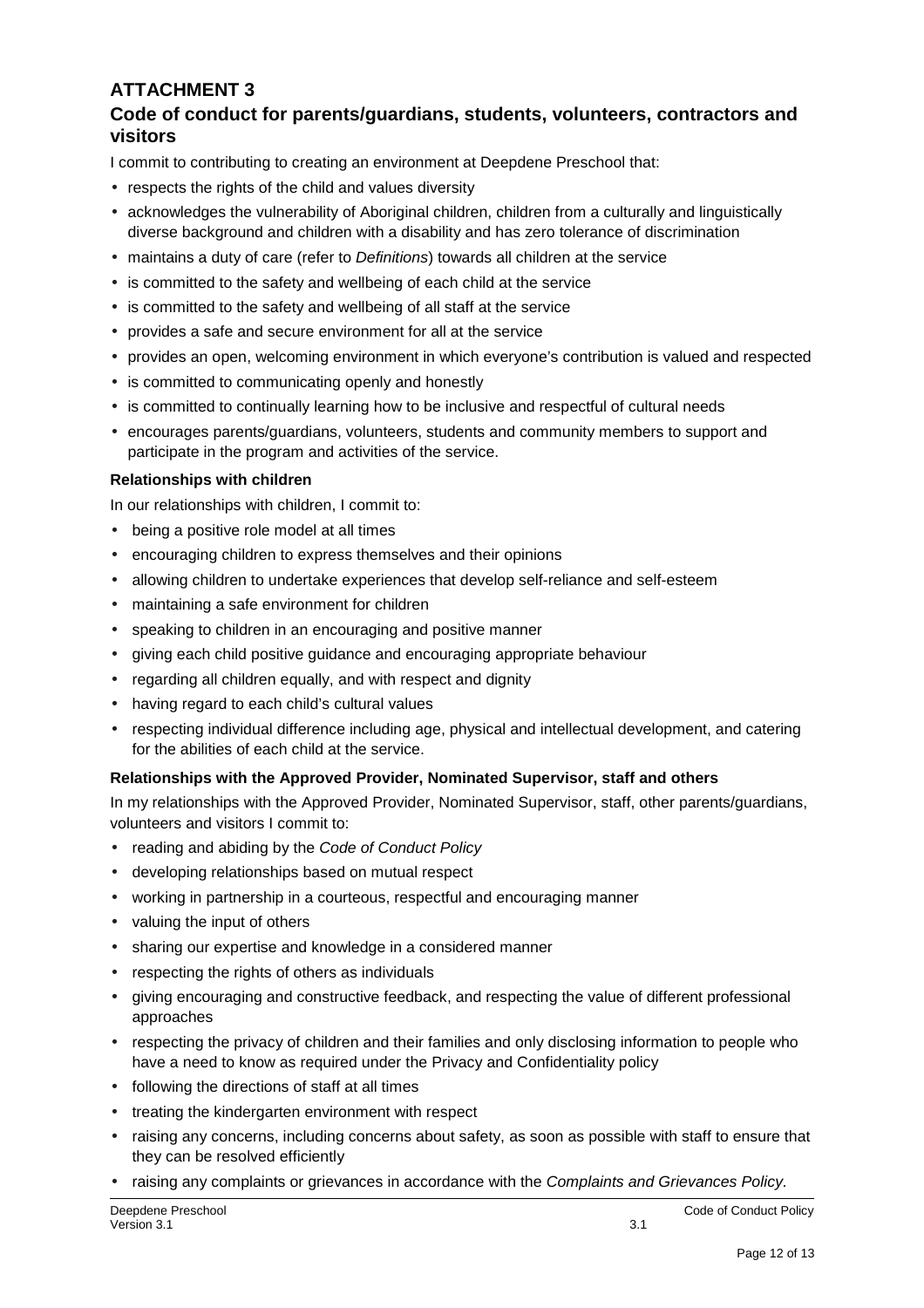# **ATTACHMENT 3**

## **Code of conduct for parents/guardians, students, volunteers, contractors and visitors**

I commit to contributing to creating an environment at Deepdene Preschool that:

- respects the rights of the child and values diversity
- acknowledges the vulnerability of Aboriginal children, children from a culturally and linguistically diverse background and children with a disability and has zero tolerance of discrimination
- maintains a duty of care (refer to *Definitions*) towards all children at the service
- is committed to the safety and wellbeing of each child at the service
- is committed to the safety and wellbeing of all staff at the service
- provides a safe and secure environment for all at the service
- provides an open, welcoming environment in which everyone's contribution is valued and respected
- is committed to communicating openly and honestly
- is committed to continually learning how to be inclusive and respectful of cultural needs
- encourages parents/guardians, volunteers, students and community members to support and participate in the program and activities of the service.

### **Relationships with children**

In our relationships with children, I commit to:

- being a positive role model at all times
- encouraging children to express themselves and their opinions
- allowing children to undertake experiences that develop self-reliance and self-esteem
- maintaining a safe environment for children
- speaking to children in an encouraging and positive manner
- giving each child positive guidance and encouraging appropriate behaviour
- regarding all children equally, and with respect and dignity
- having regard to each child's cultural values
- respecting individual difference including age, physical and intellectual development, and catering for the abilities of each child at the service.

### **Relationships with the Approved Provider, Nominated Supervisor, staff and others**

In my relationships with the Approved Provider, Nominated Supervisor, staff, other parents/guardians, volunteers and visitors I commit to:

- reading and abiding by the Code of Conduct Policy
- developing relationships based on mutual respect
- working in partnership in a courteous, respectful and encouraging manner
- valuing the input of others
- sharing our expertise and knowledge in a considered manner
- respecting the rights of others as individuals
- giving encouraging and constructive feedback, and respecting the value of different professional approaches
- respecting the privacy of children and their families and only disclosing information to people who have a need to know as required under the Privacy and Confidentiality policy
- following the directions of staff at all times
- treating the kindergarten environment with respect
- raising any concerns, including concerns about safety, as soon as possible with staff to ensure that they can be resolved efficiently
- raising any complaints or grievances in accordance with the Complaints and Grievances Policy.